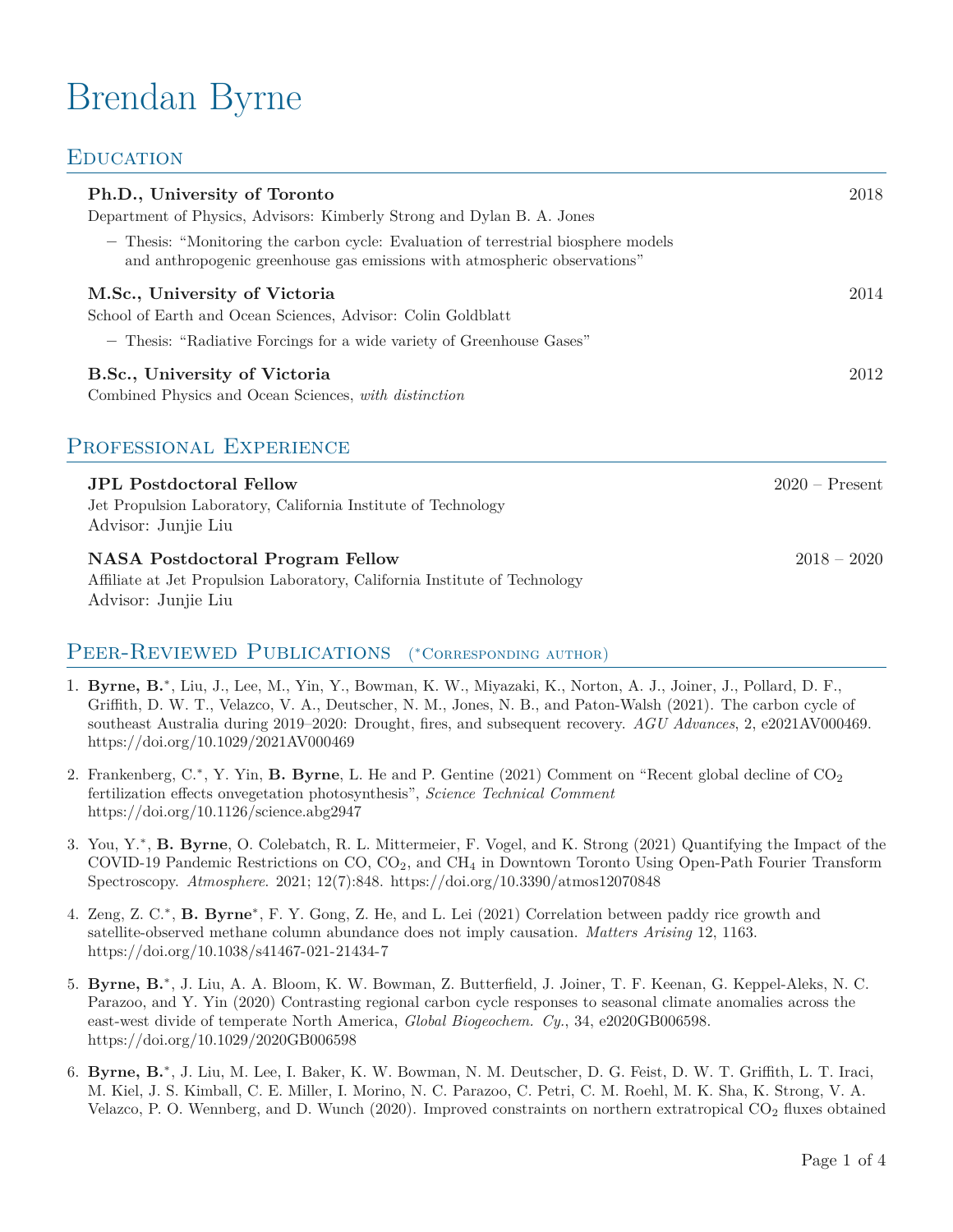# Brendan Byrne

# **EDUCATION**

Advisor: Junjie Liu

| Ph.D., University of Toronto<br>Department of Physics, Advisors: Kimberly Strong and Dylan B. A. Jones<br>- Thesis: "Monitoring the carbon cycle: Evaluation of terrestrial biosphere models<br>and anthropogenic greenhouse gas emissions with atmospheric observations" | 2018             |
|---------------------------------------------------------------------------------------------------------------------------------------------------------------------------------------------------------------------------------------------------------------------------|------------------|
| M.Sc., University of Victoria<br>School of Earth and Ocean Sciences, Advisor: Colin Goldblatt<br>- Thesis: "Radiative Forcings for a wide variety of Greenhouse Gases"                                                                                                    | 2014             |
| B.Sc., University of Victoria<br>Combined Physics and Ocean Sciences, with distinction                                                                                                                                                                                    | 2012             |
| PROFESSIONAL EXPERIENCE                                                                                                                                                                                                                                                   |                  |
| <b>JPL Postdoctoral Fellow</b><br>Jet Propulsion Laboratory, California Institute of Technology<br>Advisor: Junjie Liu                                                                                                                                                    | $2020 -$ Present |
| <b>NASA Postdoctoral Program Fellow</b><br>Affiliate at Jet Propulsion Laboratory, California Institute of Technology                                                                                                                                                     | $2018 - 2020$    |

#### PEER-REVIEWED PUBLICATIONS *<sup>∗</sup>*Corresponding author)

- 1. **Byrne, B.***<sup>∗</sup>* , Liu, J., Lee, M., Yin, Y., Bowman, K. W., Miyazaki, K., Norton, A. J., Joiner, J., Pollard, D. F., Griffith, D. W. T., Velazco, V. A., Deutscher, N. M., Jones, N. B., and Paton-Walsh (2021). The carbon cycle of southeast Australia during 2019–2020: Drought, fires, and subsequent recovery. *AGU Advances*, 2, e2021AV000469. https://doi.org/10.1029/2021AV000469
- 2. Frankenberg, C.<sup>\*</sup>, Y. Yin, **B. Byrne**, L. He and P. Gentine (2021) Comment on "Recent global decline of CO<sub>2</sub> fertilization effects onvegetation photosynthesis", *Science Technical Comment* https://doi.org/10.1126/science.abg2947
- 3. You, Y.*<sup>∗</sup>* , **B. Byrne**, O. Colebatch, R. L. Mittermeier, F. Vogel, and K. Strong (2021) Quantifying the Impact of the COVID-19 Pandemic Restrictions on  $CO$ ,  $CO<sub>2</sub>$ , and  $CH<sub>4</sub>$  in Downtown Toronto Using Open-Path Fourier Transform Spectroscopy. *Atmosphere*. 2021; 12(7):848. https://doi.org/10.3390/atmos12070848
- 4. Zeng, Z. C.*<sup>∗</sup>* , **B. Byrne***<sup>∗</sup>* , F. Y. Gong, Z. He, and L. Lei (2021) Correlation between paddy rice growth and satellite-observed methane column abundance does not imply causation. *Matters Arising* 12, 1163. <https://doi.org/10.1038/s41467-021-21434-7>
- 5. **Byrne, B.***<sup>∗</sup>* , J. Liu, A. A. Bloom, K. W. Bowman, Z. Butterfield, J. Joiner, T. F. Keenan, G. Keppel-Aleks, N. C. Parazoo, and Y. Yin (2020) Contrasting regional carbon cycle responses to seasonal climate anomalies across the east-west divide of temperate North America, *Global Biogeochem. Cy.*, 34, e2020GB006598. <https://doi.org/10.1029/2020GB006598>
- 6. **Byrne, B.***<sup>∗</sup>* , J. Liu, M. Lee, I. Baker, K. W. Bowman, N. M. Deutscher, D. G. Feist, D. W. T. Griffith, L. T. Iraci, M. Kiel, J. S. Kimball, C. E. Miller, I. Morino, N. C. Parazoo, C. Petri, C. M. Roehl, M. K. Sha, K. Strong, V. A. Velazco, P. O. Wennberg, and D. Wunch (2020). Improved constraints on northern extratropical CO<sub>2</sub> fluxes obtained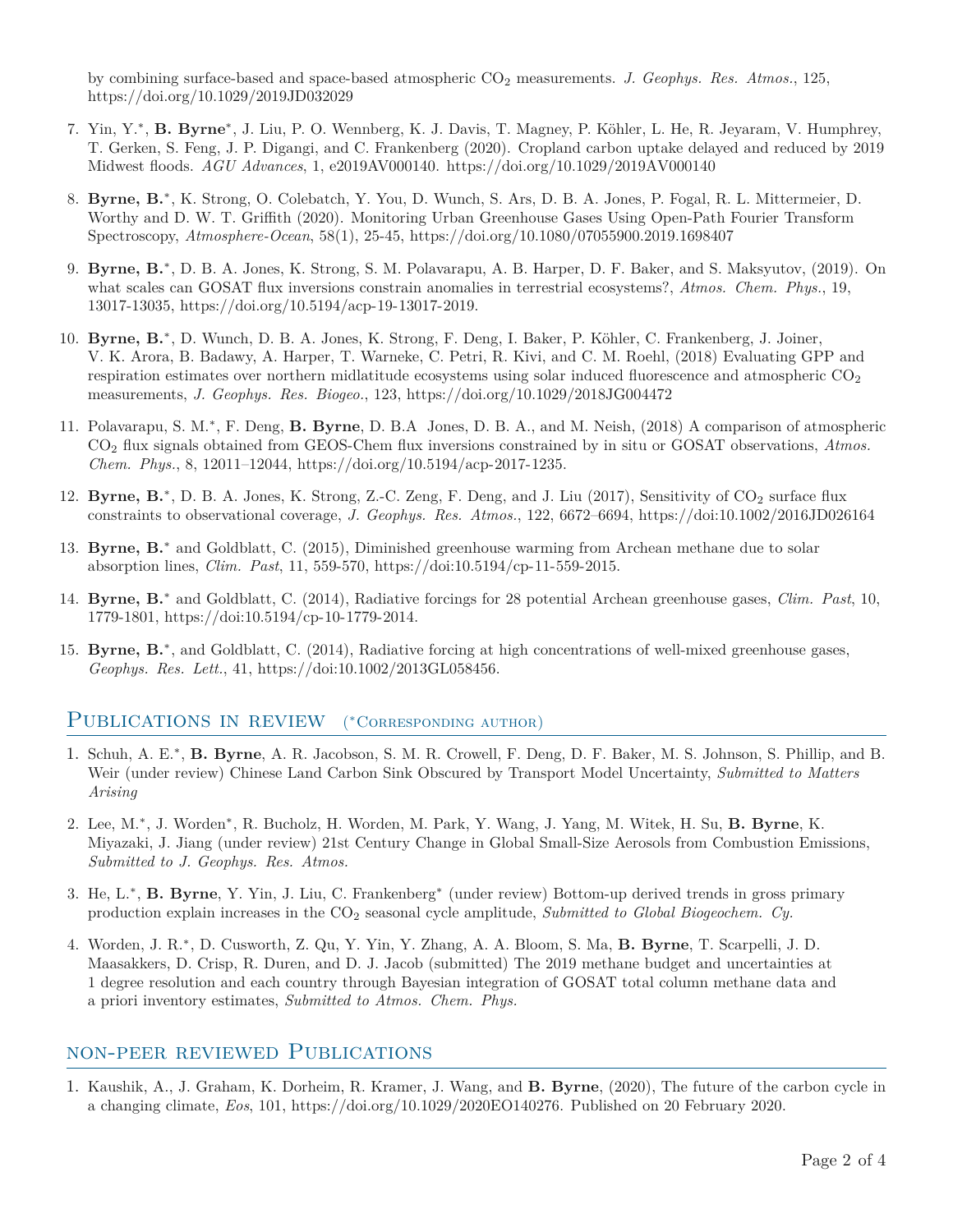by combining surface-based and space-based atmospheric CO<sup>2</sup> measurements. *J. Geophys. Res. Atmos.*, 125, <https://doi.org/10.1029/2019JD032029>

- 7. Yin, Y.*∗* , **B. Byrne***∗* , J. Liu, P. O. Wennberg, K. J. Davis, T. Magney, P. Köhler, L. He, R. Jeyaram, V. Humphrey, T. Gerken, S. Feng, J. P. Digangi, and C. Frankenberg (2020). Cropland carbon uptake delayed and reduced by 2019 Midwest floods. *AGU Advances*, 1, e2019AV000140. <https://doi.org/10.1029/2019AV000140>
- 8. **Byrne, B.***∗* , K. Strong, O. Colebatch, Y. You, D. Wunch, S. Ars, D. B. A. Jones, P. Fogal, R. L. Mittermeier, D. Worthy and D. W. T. Griffith (2020). Monitoring Urban Greenhouse Gases Using Open-Path Fourier Transform Spectroscopy, *Atmosphere-Ocean*, 58(1), 25-45, <https://doi.org/10.1080/07055900.2019.1698407>
- 9. **Byrne, B.**<sup>\*</sup>, D. B. A. Jones, K. Strong, S. M. Polavarapu, A. B. Harper, D. F. Baker, and S. Maksyutov, (2019). On what scales can GOSAT flux inversions constrain anomalies in terrestrial ecosystems?, *Atmos. Chem. Phys.*, 19, 13017-13035, <https://doi.org/10.5194/acp-19-13017-2019.>
- 10. **Byrne, B.***∗* , D. Wunch, D. B. A. Jones, K. Strong, F. Deng, I. Baker, P. Köhler, C. Frankenberg, J. Joiner, V. K. Arora, B. Badawy, A. Harper, T. Warneke, C. Petri, R. Kivi, and C. M. Roehl, (2018) Evaluating GPP and respiration estimates over northern midlatitude ecosystems using solar induced fluorescence and atmospheric CO<sub>2</sub> measurements, *J. Geophys. Res. Biogeo.*, 123, <https://doi.org/10.1029/2018JG004472>
- 11. Polavarapu, S. M.*∗* , F. Deng, **B. Byrne**, D. B.A Jones, D. B. A., and M. Neish, (2018) A comparison of atmospheric CO<sup>2</sup> flux signals obtained from GEOS-Chem flux inversions constrained by in situ or GOSAT observations, *Atmos. Chem. Phys.*, 8, 12011–12044, [https://doi.org/10.5194/acp-2017-1235.](https://doi.org/10.5194/acp-2017-1235)
- 12. Byrne, B.<sup>\*</sup>, D. B. A. Jones, K. Strong, Z.-C. Zeng, F. Deng, and J. Liu (2017), Sensitivity of CO<sub>2</sub> surface flux constraints to observational coverage, *J. Geophys. Res. Atmos.*, 122, 6672–6694, <https://doi:10.1002/2016JD026164>
- 13. **Byrne, B.***<sup>∗</sup>* and Goldblatt, C. (2015), Diminished greenhouse warming from Archean methane due to solar absorption lines, *Clim. Past*, 11, 559-570, <https://doi:10.5194/cp-11-559-2015>.
- 14. **Byrne, B.***<sup>∗</sup>* and Goldblatt, C. (2014), Radiative forcings for 28 potential Archean greenhouse gases, *Clim. Past*, 10, 1779-1801, <https://doi:10.5194/cp-10-1779-2014>.
- 15. **Byrne, B.***<sup>∗</sup>* , and Goldblatt, C. (2014), Radiative forcing at high concentrations of well-mixed greenhouse gases, *Geophys. Res. Lett.*, 41, [https://doi:10.1002/2013GL058456.](https://doi:10.1002/2013GL058456)

#### PUBLICATIONS IN REVIEW *<sup>∗</sup>*Corresponding author)

- 1. Schuh, A. E.*<sup>∗</sup>* , **B. Byrne**, A. R. Jacobson, S. M. R. Crowell, F. Deng, D. F. Baker, M. S. Johnson, S. Phillip, and B. Weir (under review) Chinese Land Carbon Sink Obscured by Transport Model Uncertainty, *Submitted to Matters Arising*
- 2. Lee, M.*<sup>∗</sup>* , J. Worden*<sup>∗</sup>* , R. Bucholz, H. Worden, M. Park, Y. Wang, J. Yang, M. Witek, H. Su, **B. Byrne**, K. Miyazaki, J. Jiang (under review) 21st Century Change in Global Small-Size Aerosols from Combustion Emissions, *Submitted to J. Geophys. Res. Atmos.*
- 3. He, L.*<sup>∗</sup>* , **B. Byrne**, Y. Yin, J. Liu, C. Frankenberg*<sup>∗</sup>* (under review) Bottom-up derived trends in gross primary production explain increases in the CO<sup>2</sup> seasonal cycle amplitude, *Submitted to Global Biogeochem. Cy.*
- 4. Worden, J. R.*<sup>∗</sup>* , D. Cusworth, Z. Qu, Y. Yin, Y. Zhang, A. A. Bloom, S. Ma, **B. Byrne**, T. Scarpelli, J. D. Maasakkers, D. Crisp, R. Duren, and D. J. Jacob (submitted) The 2019 methane budget and uncertainties at 1 degree resolution and each country through Bayesian integration of GOSAT total column methane data and a priori inventory estimates, *Submitted to Atmos. Chem. Phys.*

### non-peer reviewed Publications

1. Kaushik, A., J. Graham, K. Dorheim, R. Kramer, J. Wang, and **B. Byrne**, (2020), The future of the carbon cycle in a changing climate, *Eos*, 101, [https://doi.org/10.1029/2020EO140276.](https://doi.org/10.1029/2020EO140276) Published on 20 February 2020.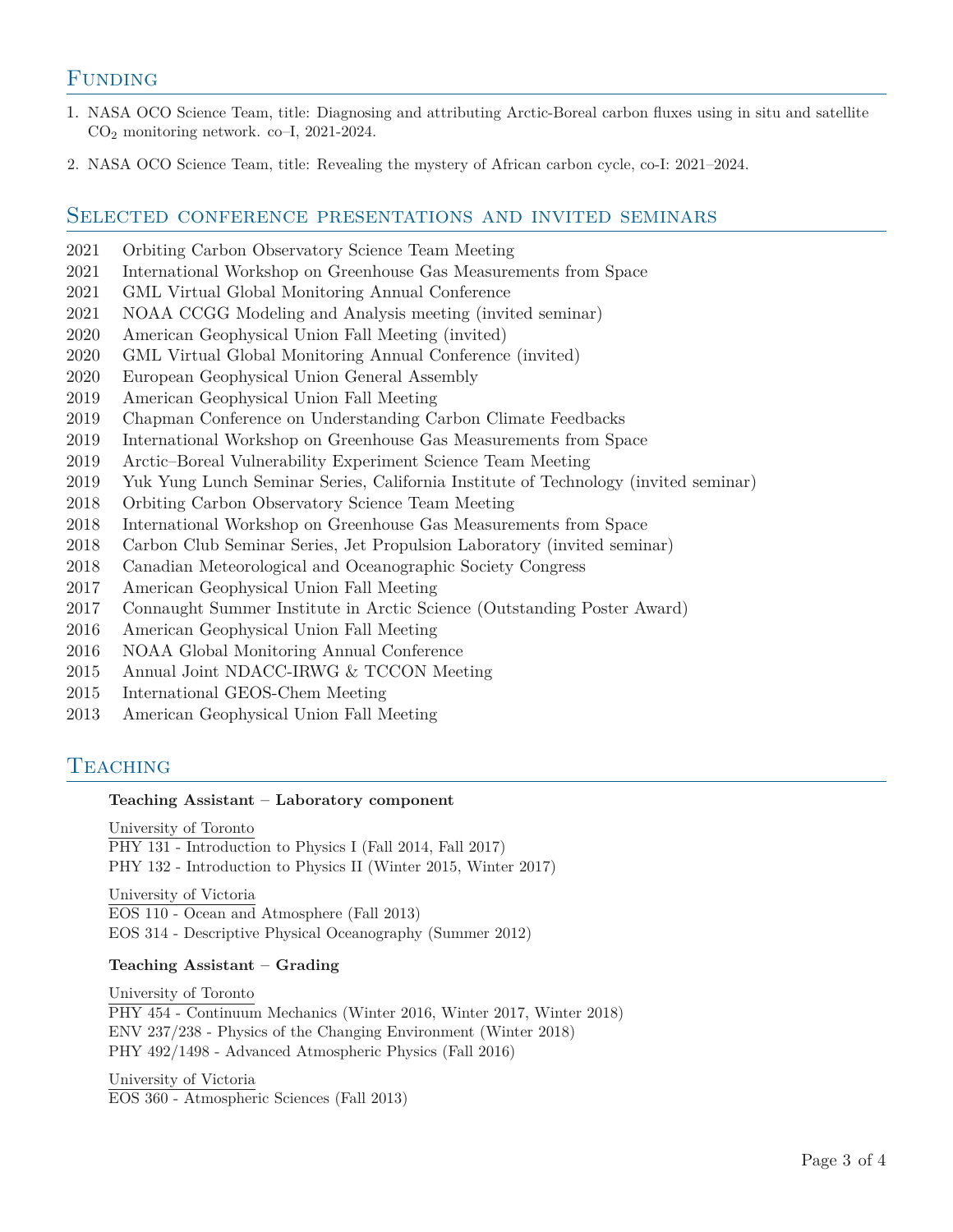## **FUNDING**

- 1. NASA OCO Science Team, title: Diagnosing and attributing Arctic-Boreal carbon fluxes using in situ and satellite CO<sup>2</sup> monitoring network. co–I, 2021-2024.
- 2. NASA OCO Science Team, title: Revealing the mystery of African carbon cycle, co-I: 2021–2024.

#### Selected conference presentations and invited seminars

- 2021 Orbiting Carbon Observatory Science Team Meeting
- 2021 International Workshop on Greenhouse Gas Measurements from Space
- 2021 GML Virtual Global Monitoring Annual Conference
- 2021 NOAA CCGG Modeling and Analysis meeting (invited seminar)
- 2020 American Geophysical Union Fall Meeting (invited)
- 2020 GML Virtual Global Monitoring Annual Conference (invited)
- 2020 European Geophysical Union General Assembly
- 2019 American Geophysical Union Fall Meeting
- 2019 Chapman Conference on Understanding Carbon Climate Feedbacks
- 2019 International Workshop on Greenhouse Gas Measurements from Space
- 2019 Arctic–Boreal Vulnerability Experiment Science Team Meeting
- 2019 Yuk Yung Lunch Seminar Series, California Institute of Technology (invited seminar)
- 2018 Orbiting Carbon Observatory Science Team Meeting
- 2018 International Workshop on Greenhouse Gas Measurements from Space
- 2018 Carbon Club Seminar Series, Jet Propulsion Laboratory (invited seminar)
- 2018 Canadian Meteorological and Oceanographic Society Congress
- 2017 American Geophysical Union Fall Meeting
- 2017 Connaught Summer Institute in Arctic Science (Outstanding Poster Award)
- 2016 American Geophysical Union Fall Meeting
- 2016 NOAA Global Monitoring Annual Conference
- 2015 Annual Joint NDACC-IRWG & TCCON Meeting
- 2015 International GEOS-Chem Meeting
- 2013 American Geophysical Union Fall Meeting

## **TEACHING**

#### **Teaching Assistant – Laboratory component**

University of Toronto

PHY 131 - Introduction to Physics I (Fall 2014, Fall 2017) PHY 132 - Introduction to Physics II (Winter 2015, Winter 2017)

University of Victoria EOS 110 - Ocean and Atmosphere (Fall 2013) EOS 314 - Descriptive Physical Oceanography (Summer 2012)

#### **Teaching Assistant – Grading**

University of Toronto PHY 454 - Continuum Mechanics (Winter 2016, Winter 2017, Winter 2018) ENV 237/238 - Physics of the Changing Environment (Winter 2018) PHY 492/1498 - Advanced Atmospheric Physics (Fall 2016)

University of Victoria EOS 360 - Atmospheric Sciences (Fall 2013)